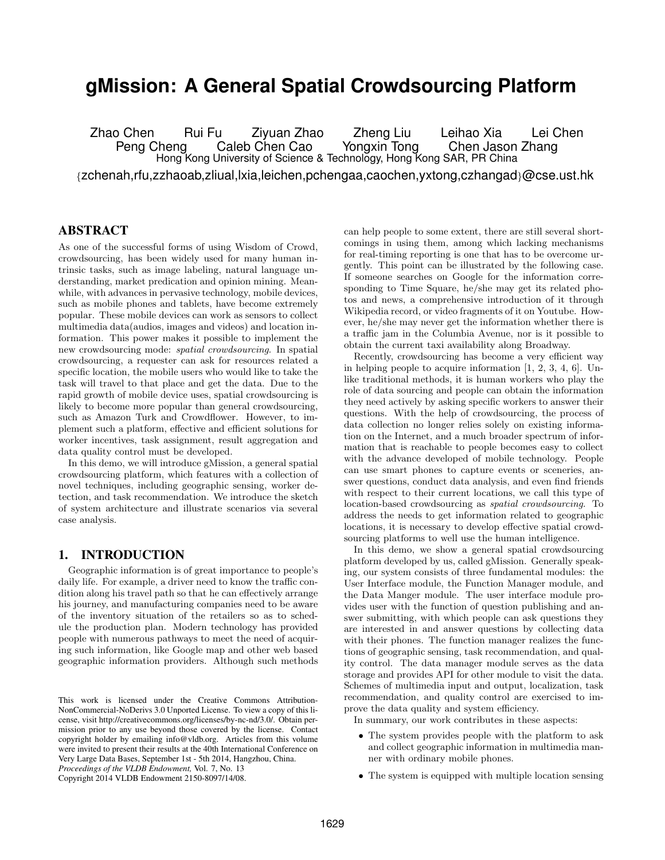# **gMission: A General Spatial Crowdsourcing Platform**

Zhao Chen Rui Fu Ziyuan Zhao Zheng Liu Leihao Xia Lei Chen Peng Cheng Caleb Chen Cao Yongxin Tong Chen Jason Zhang Hong Kong University of Science & Technology, Hong Kong SAR, PR China {zchenah,rfu,zzhaoab,zliual,lxia,leichen,pchengaa,caochen,yxtong,czhangad}@cse.ust.hk

# ABSTRACT

As one of the successful forms of using Wisdom of Crowd, crowdsourcing, has been widely used for many human intrinsic tasks, such as image labeling, natural language understanding, market predication and opinion mining. Meanwhile, with advances in pervasive technology, mobile devices, such as mobile phones and tablets, have become extremely popular. These mobile devices can work as sensors to collect multimedia data(audios, images and videos) and location information. This power makes it possible to implement the new crowdsourcing mode: spatial crowdsourcing. In spatial crowdsourcing, a requester can ask for resources related a specific location, the mobile users who would like to take the task will travel to that place and get the data. Due to the rapid growth of mobile device uses, spatial crowdsourcing is likely to become more popular than general crowdsourcing, such as Amazon Turk and Crowdflower. However, to implement such a platform, effective and efficient solutions for worker incentives, task assignment, result aggregation and data quality control must be developed.

In this demo, we will introduce gMission, a general spatial crowdsourcing platform, which features with a collection of novel techniques, including geographic sensing, worker detection, and task recommendation. We introduce the sketch of system architecture and illustrate scenarios via several case analysis.

# 1. INTRODUCTION

Geographic information is of great importance to people's daily life. For example, a driver need to know the traffic condition along his travel path so that he can effectively arrange his journey, and manufacturing companies need to be aware of the inventory situation of the retailers so as to schedule the production plan. Modern technology has provided people with numerous pathways to meet the need of acquiring such information, like Google map and other web based geographic information providers. Although such methods

*Proceedings of the VLDB Endowment,* Vol. 7, No. 13

Copyright 2014 VLDB Endowment 2150-8097/14/08.

can help people to some extent, there are still several shortcomings in using them, among which lacking mechanisms for real-timing reporting is one that has to be overcome urgently. This point can be illustrated by the following case. If someone searches on Google for the information corresponding to Time Square, he/she may get its related photos and news, a comprehensive introduction of it through Wikipedia record, or video fragments of it on Youtube. However, he/she may never get the information whether there is a traffic jam in the Columbia Avenue, nor is it possible to obtain the current taxi availability along Broadway.

Recently, crowdsourcing has become a very efficient way in helping people to acquire information [1, 2, 3, 4, 6]. Unlike traditional methods, it is human workers who play the role of data sourcing and people can obtain the information they need actively by asking specific workers to answer their questions. With the help of crowdsourcing, the process of data collection no longer relies solely on existing information on the Internet, and a much broader spectrum of information that is reachable to people becomes easy to collect with the advance developed of mobile technology. People can use smart phones to capture events or sceneries, answer questions, conduct data analysis, and even find friends with respect to their current locations, we call this type of location-based crowdsourcing as spatial crowdsourcing. To address the needs to get information related to geographic locations, it is necessary to develop effective spatial crowdsourcing platforms to well use the human intelligence.

In this demo, we show a general spatial crowdsourcing platform developed by us, called gMission. Generally speaking, our system consists of three fundamental modules: the User Interface module, the Function Manager module, and the Data Manger module. The user interface module provides user with the function of question publishing and answer submitting, with which people can ask questions they are interested in and answer questions by collecting data with their phones. The function manager realizes the functions of geographic sensing, task recommendation, and quality control. The data manager module serves as the data storage and provides API for other module to visit the data. Schemes of multimedia input and output, localization, task recommendation, and quality control are exercised to improve the data quality and system efficiency.

In summary, our work contributes in these aspects:

- The system provides people with the platform to ask and collect geographic information in multimedia manner with ordinary mobile phones.
- The system is equipped with multiple location sensing

This work is licensed under the Creative Commons Attribution-NonCommercial-NoDerivs 3.0 Unported License. To view a copy of this license, visit http://creativecommons.org/licenses/by-nc-nd/3.0/. Obtain permission prior to any use beyond those covered by the license. Contact copyright holder by emailing info@vldb.org. Articles from this volume were invited to present their results at the 40th International Conference on Very Large Data Bases, September 1st - 5th 2014, Hangzhou, China.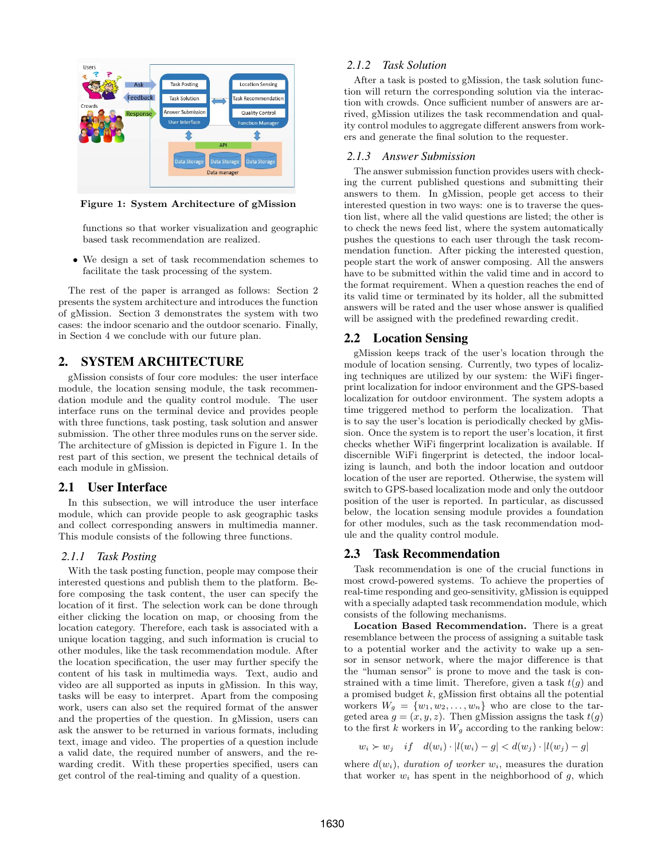

Figure 1: System Architecture of gMission

functions so that worker visualization and geographic based task recommendation are realized.

• We design a set of task recommendation schemes to facilitate the task processing of the system.

The rest of the paper is arranged as follows: Section 2 presents the system architecture and introduces the function of gMission. Section 3 demonstrates the system with two cases: the indoor scenario and the outdoor scenario. Finally, in Section 4 we conclude with our future plan.

### 2. SYSTEM ARCHITECTURE

gMission consists of four core modules: the user interface module, the location sensing module, the task recommendation module and the quality control module. The user interface runs on the terminal device and provides people with three functions, task posting, task solution and answer submission. The other three modules runs on the server side. The architecture of gMission is depicted in Figure 1. In the rest part of this section, we present the technical details of each module in gMission.

#### 2.1 User Interface

In this subsection, we will introduce the user interface module, which can provide people to ask geographic tasks and collect corresponding answers in multimedia manner. This module consists of the following three functions.

#### *2.1.1 Task Posting*

With the task posting function, people may compose their interested questions and publish them to the platform. Before composing the task content, the user can specify the location of it first. The selection work can be done through either clicking the location on map, or choosing from the location category. Therefore, each task is associated with a unique location tagging, and such information is crucial to other modules, like the task recommendation module. After the location specification, the user may further specify the content of his task in multimedia ways. Text, audio and video are all supported as inputs in gMission. In this way, tasks will be easy to interpret. Apart from the composing work, users can also set the required format of the answer and the properties of the question. In gMission, users can ask the answer to be returned in various formats, including text, image and video. The properties of a question include a valid date, the required number of answers, and the rewarding credit. With these properties specified, users can get control of the real-timing and quality of a question.

#### *2.1.2 Task Solution*

After a task is posted to gMission, the task solution function will return the corresponding solution via the interaction with crowds. Once sufficient number of answers are arrived, gMission utilizes the task recommendation and quality control modules to aggregate different answers from workers and generate the final solution to the requester.

#### *2.1.3 Answer Submission*

The answer submission function provides users with checking the current published questions and submitting their answers to them. In gMission, people get access to their interested question in two ways: one is to traverse the question list, where all the valid questions are listed; the other is to check the news feed list, where the system automatically pushes the questions to each user through the task recommendation function. After picking the interested question, people start the work of answer composing. All the answers have to be submitted within the valid time and in accord to the format requirement. When a question reaches the end of its valid time or terminated by its holder, all the submitted answers will be rated and the user whose answer is qualified will be assigned with the predefined rewarding credit.

#### 2.2 Location Sensing

gMission keeps track of the user's location through the module of location sensing. Currently, two types of localizing techniques are utilized by our system: the WiFi fingerprint localization for indoor environment and the GPS-based localization for outdoor environment. The system adopts a time triggered method to perform the localization. That is to say the user's location is periodically checked by gMission. Once the system is to report the user's location, it first checks whether WiFi fingerprint localization is available. If discernible WiFi fingerprint is detected, the indoor localizing is launch, and both the indoor location and outdoor location of the user are reported. Otherwise, the system will switch to GPS-based localization mode and only the outdoor position of the user is reported. In particular, as discussed below, the location sensing module provides a foundation for other modules, such as the task recommendation module and the quality control module.

#### 2.3 Task Recommendation

Task recommendation is one of the crucial functions in most crowd-powered systems. To achieve the properties of real-time responding and geo-sensitivity, gMission is equipped with a specially adapted task recommendation module, which consists of the following mechanisms.

Location Based Recommendation. There is a great resemblance between the process of assigning a suitable task to a potential worker and the activity to wake up a sensor in sensor network, where the major difference is that the "human sensor" is prone to move and the task is constrained with a time limit. Therefore, given a task  $t(q)$  and a promised budget  $k$ , gMission first obtains all the potential workers  $W_g = \{w_1, w_2, \ldots, w_n\}$  who are close to the targeted area  $g = (x, y, z)$ . Then gMission assigns the task  $t(g)$ to the first k workers in  $W_q$  according to the ranking below:

$$
w_i \succ w_j \quad if \quad d(w_i) \cdot |l(w_i) - g| < d(w_j) \cdot |l(w_j) - g|
$$

where  $d(w_i)$ , duration of worker  $w_i$ , measures the duration that worker  $w_i$  has spent in the neighborhood of  $g$ , which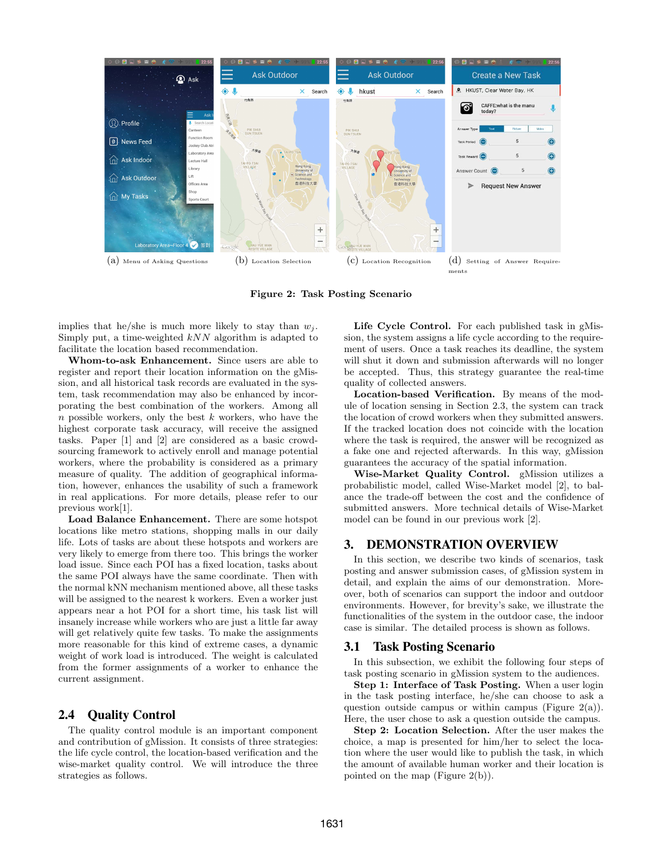

Figure 2: Task Posting Scenario

implies that he/she is much more likely to stay than  $w_i$ . Simply put, a time-weighted kNN algorithm is adapted to facilitate the location based recommendation.

Whom-to-ask Enhancement. Since users are able to register and report their location information on the gMission, and all historical task records are evaluated in the system, task recommendation may also be enhanced by incorporating the best combination of the workers. Among all  $n$  possible workers, only the best  $k$  workers, who have the highest corporate task accuracy, will receive the assigned tasks. Paper [1] and [2] are considered as a basic crowdsourcing framework to actively enroll and manage potential workers, where the probability is considered as a primary measure of quality. The addition of geographical information, however, enhances the usability of such a framework in real applications. For more details, please refer to our previous work[1].

Load Balance Enhancement. There are some hotspot locations like metro stations, shopping malls in our daily life. Lots of tasks are about these hotspots and workers are very likely to emerge from there too. This brings the worker load issue. Since each POI has a fixed location, tasks about the same POI always have the same coordinate. Then with the normal kNN mechanism mentioned above, all these tasks will be assigned to the nearest k workers. Even a worker just appears near a hot POI for a short time, his task list will insanely increase while workers who are just a little far away will get relatively quite few tasks. To make the assignments more reasonable for this kind of extreme cases, a dynamic weight of work load is introduced. The weight is calculated from the former assignments of a worker to enhance the current assignment.

#### 2.4 Quality Control

The quality control module is an important component and contribution of gMission. It consists of three strategies: the life cycle control, the location-based verification and the wise-market quality control. We will introduce the three strategies as follows.

Life Cycle Control. For each published task in gMission, the system assigns a life cycle according to the requirement of users. Once a task reaches its deadline, the system will shut it down and submission afterwards will no longer be accepted. Thus, this strategy guarantee the real-time quality of collected answers.

Location-based Verification. By means of the module of location sensing in Section 2.3, the system can track the location of crowd workers when they submitted answers. If the tracked location does not coincide with the location where the task is required, the answer will be recognized as a fake one and rejected afterwards. In this way, gMission guarantees the accuracy of the spatial information.

Wise-Market Quality Control. gMission utilizes a probabilistic model, called Wise-Market model [2], to balance the trade-off between the cost and the confidence of submitted answers. More technical details of Wise-Market model can be found in our previous work [2].

# 3. DEMONSTRATION OVERVIEW

In this section, we describe two kinds of scenarios, task posting and answer submission cases, of gMission system in detail, and explain the aims of our demonstration. Moreover, both of scenarios can support the indoor and outdoor environments. However, for brevity's sake, we illustrate the functionalities of the system in the outdoor case, the indoor case is similar. The detailed process is shown as follows.

#### 3.1 Task Posting Scenario

In this subsection, we exhibit the following four steps of task posting scenario in gMission system to the audiences.

Step 1: Interface of Task Posting. When a user login in the task posting interface, he/she can choose to ask a question outside campus or within campus (Figure 2(a)). Here, the user chose to ask a question outside the campus.

Step 2: Location Selection. After the user makes the choice, a map is presented for him/her to select the location where the user would like to publish the task, in which the amount of available human worker and their location is pointed on the map (Figure 2(b)).